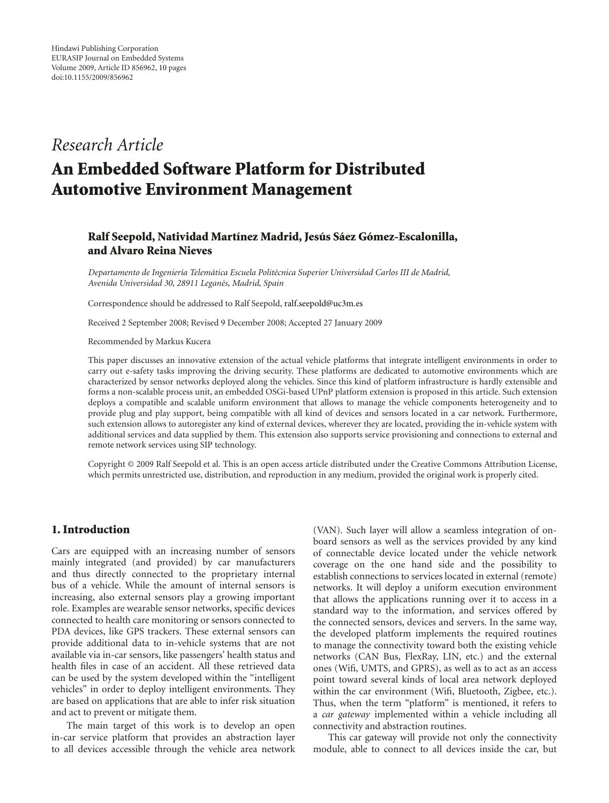# *Research Article*

# **An Embedded Software Platform for Distributed Automotive Environment Management**

## **Ralf Seepold, Natividad Martınez Madrid, Jes ´ us S ´ aez G ´ omez-Escalonilla, ´ and Alvaro Reina Nieves**

*Departamento de Ingenier´ıa Telematica Escuela Polit ´ ´ecnica Superior Universidad Carlos III de Madrid, Avenida Universidad 30, 28911 Legan´es, Madrid, Spain*

Correspondence should be addressed to Ralf Seepold, ralf.seepold@uc3m.es

Received 2 September 2008; Revised 9 December 2008; Accepted 27 January 2009

Recommended by Markus Kucera

This paper discusses an innovative extension of the actual vehicle platforms that integrate intelligent environments in order to carry out e-safety tasks improving the driving security. These platforms are dedicated to automotive environments which are characterized by sensor networks deployed along the vehicles. Since this kind of platform infrastructure is hardly extensible and forms a non-scalable process unit, an embedded OSGi-based UPnP platform extension is proposed in this article. Such extension deploys a compatible and scalable uniform environment that allows to manage the vehicle components heterogeneity and to provide plug and play support, being compatible with all kind of devices and sensors located in a car network. Furthermore, such extension allows to autoregister any kind of external devices, wherever they are located, providing the in-vehicle system with additional services and data supplied by them. This extension also supports service provisioning and connections to external and remote network services using SIP technology.

Copyright © 2009 Ralf Seepold et al. This is an open access article distributed under the Creative Commons Attribution License, which permits unrestricted use, distribution, and reproduction in any medium, provided the original work is properly cited.

### **1. Introduction**

Cars are equipped with an increasing number of sensors mainly integrated (and provided) by car manufacturers and thus directly connected to the proprietary internal bus of a vehicle. While the amount of internal sensors is increasing, also external sensors play a growing important role. Examples are wearable sensor networks, specific devices connected to health care monitoring or sensors connected to PDA devices, like GPS trackers. These external sensors can provide additional data to in-vehicle systems that are not available via in-car sensors, like passengers' health status and health files in case of an accident. All these retrieved data can be used by the system developed within the "intelligent vehicles" in order to deploy intelligent environments. They are based on applications that are able to infer risk situation and act to prevent or mitigate them.

The main target of this work is to develop an open in-car service platform that provides an abstraction layer to all devices accessible through the vehicle area network

(VAN). Such layer will allow a seamless integration of onboard sensors as well as the services provided by any kind of connectable device located under the vehicle network coverage on the one hand side and the possibility to establish connections to services located in external (remote) networks. It will deploy a uniform execution environment that allows the applications running over it to access in a standard way to the information, and services offered by the connected sensors, devices and servers. In the same way, the developed platform implements the required routines to manage the connectivity toward both the existing vehicle networks (CAN Bus, FlexRay, LIN, etc.) and the external ones (Wifi, UMTS, and GPRS), as well as to act as an access point toward several kinds of local area network deployed within the car environment (Wifi, Bluetooth, Zigbee, etc.). Thus, when the term "platform" is mentioned, it refers to a *car gateway* implemented within a vehicle including all connectivity and abstraction routines.

This car gateway will provide not only the connectivity module, able to connect to all devices inside the car, but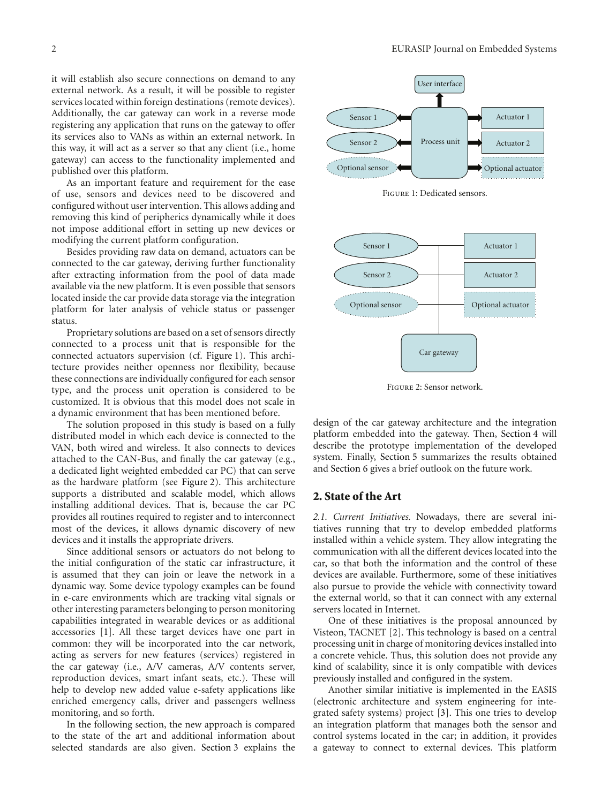it will establish also secure connections on demand to any external network. As a result, it will be possible to register services located within foreign destinations (remote devices). Additionally, the car gateway can work in a reverse mode registering any application that runs on the gateway to offer its services also to VANs as within an external network. In this way, it will act as a server so that any client (i.e., home gateway) can access to the functionality implemented and published over this platform.

As an important feature and requirement for the ease of use, sensors and devices need to be discovered and configured without user intervention. This allows adding and removing this kind of peripherics dynamically while it does not impose additional effort in setting up new devices or modifying the current platform configuration.

Besides providing raw data on demand, actuators can be connected to the car gateway, deriving further functionality after extracting information from the pool of data made available via the new platform. It is even possible that sensors located inside the car provide data storage via the integration platform for later analysis of vehicle status or passenger status.

Proprietary solutions are based on a set of sensors directly connected to a process unit that is responsible for the connected actuators supervision (cf. Figure 1). This architecture provides neither openness nor flexibility, because these connections are individually configured for each sensor type, and the process unit operation is considered to be customized. It is obvious that this model does not scale in a dynamic environment that has been mentioned before.

The solution proposed in this study is based on a fully distributed model in which each device is connected to the VAN, both wired and wireless. It also connects to devices attached to the CAN-Bus, and finally the car gateway (e.g., a dedicated light weighted embedded car PC) that can serve as the hardware platform (see Figure 2). This architecture supports a distributed and scalable model, which allows installing additional devices. That is, because the car PC provides all routines required to register and to interconnect most of the devices, it allows dynamic discovery of new devices and it installs the appropriate drivers.

Since additional sensors or actuators do not belong to the initial configuration of the static car infrastructure, it is assumed that they can join or leave the network in a dynamic way. Some device typology examples can be found in e-care environments which are tracking vital signals or other interesting parameters belonging to person monitoring capabilities integrated in wearable devices or as additional accessories [1]. All these target devices have one part in common: they will be incorporated into the car network, acting as servers for new features (services) registered in the car gateway (i.e., A/V cameras, A/V contents server, reproduction devices, smart infant seats, etc.). These will help to develop new added value e-safety applications like enriched emergency calls, driver and passengers wellness monitoring, and so forth.

In the following section, the new approach is compared to the state of the art and additional information about selected standards are also given. Section 3 explains the



Figure 1: Dedicated sensors.



Figure 2: Sensor network.

design of the car gateway architecture and the integration platform embedded into the gateway. Then, Section 4 will describe the prototype implementation of the developed system. Finally, Section 5 summarizes the results obtained and Section 6 gives a brief outlook on the future work.

#### **2. State of the Art**

*2.1. Current Initiatives.* Nowadays, there are several initiatives running that try to develop embedded platforms installed within a vehicle system. They allow integrating the communication with all the different devices located into the car, so that both the information and the control of these devices are available. Furthermore, some of these initiatives also pursue to provide the vehicle with connectivity toward the external world, so that it can connect with any external servers located in Internet.

One of these initiatives is the proposal announced by Visteon, TACNET [2]. This technology is based on a central processing unit in charge of monitoring devices installed into a concrete vehicle. Thus, this solution does not provide any kind of scalability, since it is only compatible with devices previously installed and configured in the system.

Another similar initiative is implemented in the EASIS (electronic architecture and system engineering for integrated safety systems) project [3]. This one tries to develop an integration platform that manages both the sensor and control systems located in the car; in addition, it provides a gateway to connect to external devices. This platform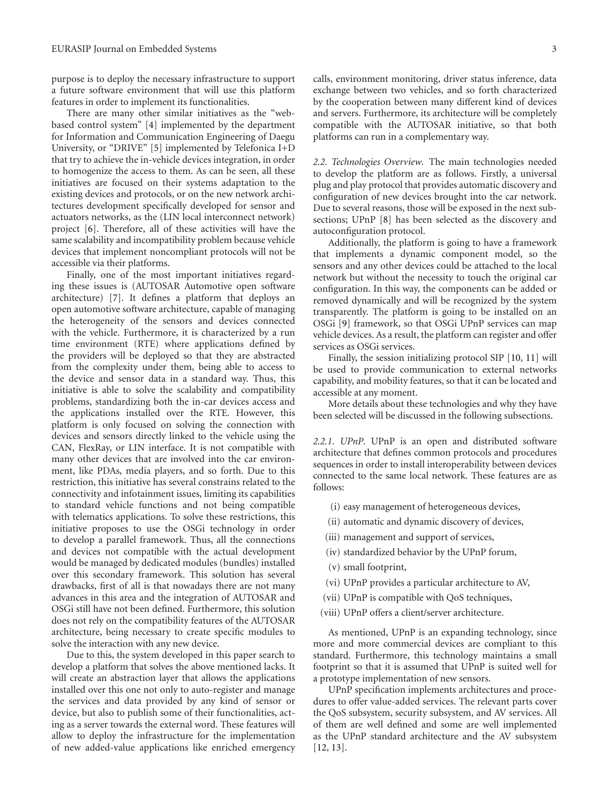purpose is to deploy the necessary infrastructure to support a future software environment that will use this platform features in order to implement its functionalities.

There are many other similar initiatives as the "webbased control system" [4] implemented by the department for Information and Communication Engineering of Daegu University, or "DRIVE" [5] implemented by Telefonica I+D that try to achieve the in-vehicle devices integration, in order to homogenize the access to them. As can be seen, all these initiatives are focused on their systems adaptation to the existing devices and protocols, or on the new network architectures development specifically developed for sensor and actuators networks, as the (LIN local interconnect network) project [6]. Therefore, all of these activities will have the same scalability and incompatibility problem because vehicle devices that implement noncompliant protocols will not be accessible via their platforms.

Finally, one of the most important initiatives regarding these issues is (AUTOSAR Automotive open software architecture) [7]. It defines a platform that deploys an open automotive software architecture, capable of managing the heterogeneity of the sensors and devices connected with the vehicle. Furthermore, it is characterized by a run time environment (RTE) where applications defined by the providers will be deployed so that they are abstracted from the complexity under them, being able to access to the device and sensor data in a standard way. Thus, this initiative is able to solve the scalability and compatibility problems, standardizing both the in-car devices access and the applications installed over the RTE. However, this platform is only focused on solving the connection with devices and sensors directly linked to the vehicle using the CAN, FlexRay, or LIN interface. It is not compatible with many other devices that are involved into the car environment, like PDAs, media players, and so forth. Due to this restriction, this initiative has several constrains related to the connectivity and infotainment issues, limiting its capabilities to standard vehicle functions and not being compatible with telematics applications. To solve these restrictions, this initiative proposes to use the OSGi technology in order to develop a parallel framework. Thus, all the connections and devices not compatible with the actual development would be managed by dedicated modules (bundles) installed over this secondary framework. This solution has several drawbacks, first of all is that nowadays there are not many advances in this area and the integration of AUTOSAR and OSGi still have not been defined. Furthermore, this solution does not rely on the compatibility features of the AUTOSAR architecture, being necessary to create specific modules to solve the interaction with any new device.

Due to this, the system developed in this paper search to develop a platform that solves the above mentioned lacks. It will create an abstraction layer that allows the applications installed over this one not only to auto-register and manage the services and data provided by any kind of sensor or device, but also to publish some of their functionalities, acting as a server towards the external word. These features will allow to deploy the infrastructure for the implementation of new added-value applications like enriched emergency calls, environment monitoring, driver status inference, data exchange between two vehicles, and so forth characterized by the cooperation between many different kind of devices and servers. Furthermore, its architecture will be completely compatible with the AUTOSAR initiative, so that both platforms can run in a complementary way.

*2.2. Technologies Overview.* The main technologies needed to develop the platform are as follows. Firstly, a universal plug and play protocol that provides automatic discovery and configuration of new devices brought into the car network. Due to several reasons, those will be exposed in the next subsections; UPnP [8] has been selected as the discovery and autoconfiguration protocol.

Additionally, the platform is going to have a framework that implements a dynamic component model, so the sensors and any other devices could be attached to the local network but without the necessity to touch the original car configuration. In this way, the components can be added or removed dynamically and will be recognized by the system transparently. The platform is going to be installed on an OSGi [9] framework, so that OSGi UPnP services can map vehicle devices. As a result, the platform can register and offer services as OSGi services.

Finally, the session initializing protocol SIP [10, 11] will be used to provide communication to external networks capability, and mobility features, so that it can be located and accessible at any moment.

More details about these technologies and why they have been selected will be discussed in the following subsections.

*2.2.1. UPnP.* UPnP is an open and distributed software architecture that defines common protocols and procedures sequences in order to install interoperability between devices connected to the same local network. These features are as follows:

- (i) easy management of heterogeneous devices,
- (ii) automatic and dynamic discovery of devices,
- (iii) management and support of services,
- (iv) standardized behavior by the UPnP forum,
- (v) small footprint,
- (vi) UPnP provides a particular architecture to AV,
- (vii) UPnP is compatible with QoS techniques,
- (viii) UPnP offers a client/server architecture.

As mentioned, UPnP is an expanding technology, since more and more commercial devices are compliant to this standard. Furthermore, this technology maintains a small footprint so that it is assumed that UPnP is suited well for a prototype implementation of new sensors.

UPnP specification implements architectures and procedures to offer value-added services. The relevant parts cover the QoS subsystem, security subsystem, and AV services. All of them are well defined and some are well implemented as the UPnP standard architecture and the AV subsystem [12, 13].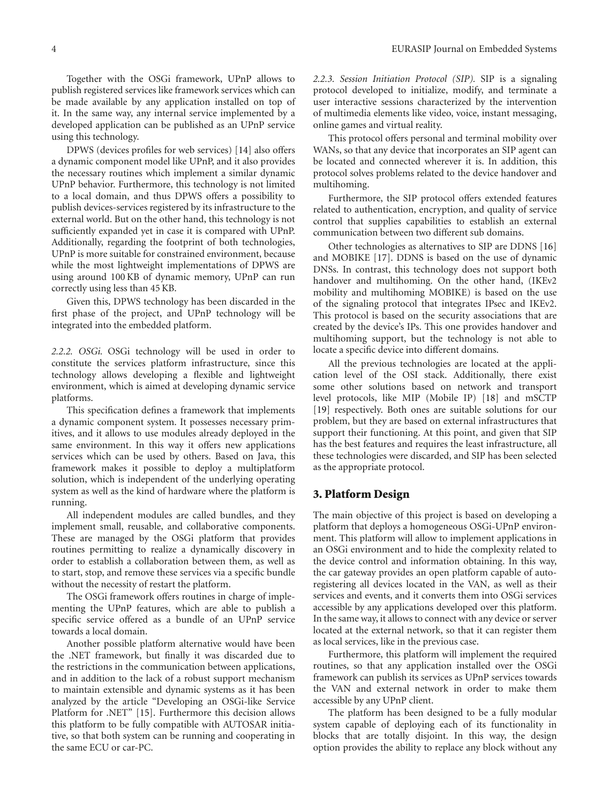Together with the OSGi framework, UPnP allows to publish registered services like framework services which can be made available by any application installed on top of it. In the same way, any internal service implemented by a developed application can be published as an UPnP service using this technology.

DPWS (devices profiles for web services) [14] also offers a dynamic component model like UPnP, and it also provides the necessary routines which implement a similar dynamic UPnP behavior. Furthermore, this technology is not limited to a local domain, and thus DPWS offers a possibility to publish devices-services registered by its infrastructure to the external world. But on the other hand, this technology is not sufficiently expanded yet in case it is compared with UPnP. Additionally, regarding the footprint of both technologies, UPnP is more suitable for constrained environment, because while the most lightweight implementations of DPWS are using around 100 KB of dynamic memory, UPnP can run correctly using less than 45 KB.

Given this, DPWS technology has been discarded in the first phase of the project, and UPnP technology will be integrated into the embedded platform.

*2.2.2. OSGi.* OSGi technology will be used in order to constitute the services platform infrastructure, since this technology allows developing a flexible and lightweight environment, which is aimed at developing dynamic service platforms.

This specification defines a framework that implements a dynamic component system. It possesses necessary primitives, and it allows to use modules already deployed in the same environment. In this way it offers new applications services which can be used by others. Based on Java, this framework makes it possible to deploy a multiplatform solution, which is independent of the underlying operating system as well as the kind of hardware where the platform is running.

All independent modules are called bundles, and they implement small, reusable, and collaborative components. These are managed by the OSGi platform that provides routines permitting to realize a dynamically discovery in order to establish a collaboration between them, as well as to start, stop, and remove these services via a specific bundle without the necessity of restart the platform.

The OSGi framework offers routines in charge of implementing the UPnP features, which are able to publish a specific service offered as a bundle of an UPnP service towards a local domain.

Another possible platform alternative would have been the .NET framework, but finally it was discarded due to the restrictions in the communication between applications, and in addition to the lack of a robust support mechanism to maintain extensible and dynamic systems as it has been analyzed by the article "Developing an OSGi-like Service Platform for .NET" [15]. Furthermore this decision allows this platform to be fully compatible with AUTOSAR initiative, so that both system can be running and cooperating in the same ECU or car-PC.

*2.2.3. Session Initiation Protocol (SIP).* SIP is a signaling protocol developed to initialize, modify, and terminate a user interactive sessions characterized by the intervention of multimedia elements like video, voice, instant messaging, online games and virtual reality.

This protocol offers personal and terminal mobility over WANs, so that any device that incorporates an SIP agent can be located and connected wherever it is. In addition, this protocol solves problems related to the device handover and multihoming.

Furthermore, the SIP protocol offers extended features related to authentication, encryption, and quality of service control that supplies capabilities to establish an external communication between two different sub domains.

Other technologies as alternatives to SIP are DDNS [16] and MOBIKE [17]. DDNS is based on the use of dynamic DNSs. In contrast, this technology does not support both handover and multihoming. On the other hand, (IKEv2 mobility and multihoming MOBIKE) is based on the use of the signaling protocol that integrates IPsec and IKEv2. This protocol is based on the security associations that are created by the device's IPs. This one provides handover and multihoming support, but the technology is not able to locate a specific device into different domains.

All the previous technologies are located at the application level of the OSI stack. Additionally, there exist some other solutions based on network and transport level protocols, like MIP (Mobile IP) [18] and mSCTP [19] respectively. Both ones are suitable solutions for our problem, but they are based on external infrastructures that support their functioning. At this point, and given that SIP has the best features and requires the least infrastructure, all these technologies were discarded, and SIP has been selected as the appropriate protocol.

#### **3. Platform Design**

The main objective of this project is based on developing a platform that deploys a homogeneous OSGi-UPnP environment. This platform will allow to implement applications in an OSGi environment and to hide the complexity related to the device control and information obtaining. In this way, the car gateway provides an open platform capable of autoregistering all devices located in the VAN, as well as their services and events, and it converts them into OSGi services accessible by any applications developed over this platform. In the same way, it allows to connect with any device or server located at the external network, so that it can register them as local services, like in the previous case.

Furthermore, this platform will implement the required routines, so that any application installed over the OSGi framework can publish its services as UPnP services towards the VAN and external network in order to make them accessible by any UPnP client.

The platform has been designed to be a fully modular system capable of deploying each of its functionality in blocks that are totally disjoint. In this way, the design option provides the ability to replace any block without any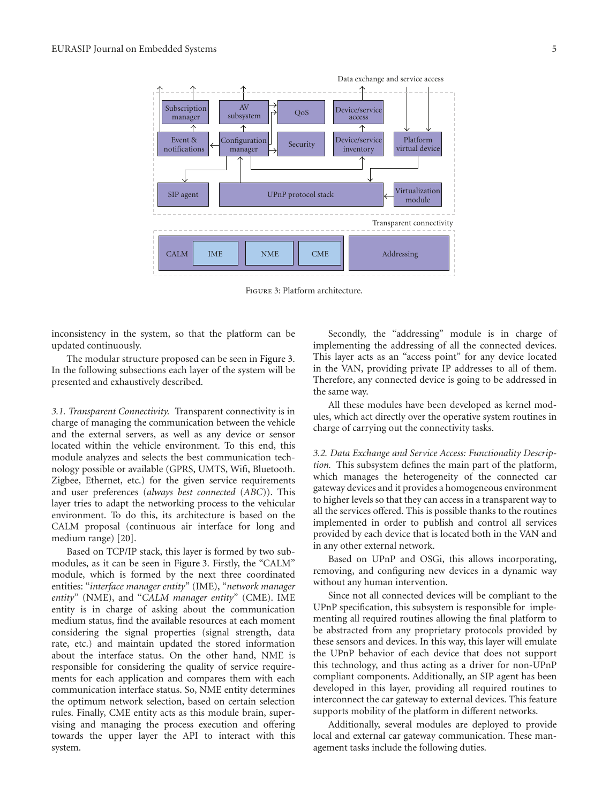

Figure 3: Platform architecture.

inconsistency in the system, so that the platform can be updated continuously.

The modular structure proposed can be seen in Figure 3. In the following subsections each layer of the system will be presented and exhaustively described.

*3.1. Transparent Connectivity.* Transparent connectivity is in charge of managing the communication between the vehicle and the external servers, as well as any device or sensor located within the vehicle environment. To this end, this module analyzes and selects the best communication technology possible or available (GPRS, UMTS, Wifi, Bluetooth. Zigbee, Ethernet, etc.) for the given service requirements and user preferences (*always best connected* (*ABC*)). This layer tries to adapt the networking process to the vehicular environment. To do this, its architecture is based on the CALM proposal (continuous air interface for long and medium range) [20].

Based on TCP/IP stack, this layer is formed by two submodules, as it can be seen in Figure 3. Firstly, the "CALM" module, which is formed by the next three coordinated entities: "*interface manager entity*" (IME), "*network manager entity*" (NME), and "*CALM manager entity*" (CME). IME entity is in charge of asking about the communication medium status, find the available resources at each moment considering the signal properties (signal strength, data rate, etc.) and maintain updated the stored information about the interface status. On the other hand, NME is responsible for considering the quality of service requirements for each application and compares them with each communication interface status. So, NME entity determines the optimum network selection, based on certain selection rules. Finally, CME entity acts as this module brain, supervising and managing the process execution and offering towards the upper layer the API to interact with this system.

Secondly, the "addressing" module is in charge of implementing the addressing of all the connected devices. This layer acts as an "access point" for any device located in the VAN, providing private IP addresses to all of them. Therefore, any connected device is going to be addressed in the same way.

All these modules have been developed as kernel modules, which act directly over the operative system routines in charge of carrying out the connectivity tasks.

*3.2. Data Exchange and Service Access: Functionality Description.* This subsystem defines the main part of the platform, which manages the heterogeneity of the connected car gateway devices and it provides a homogeneous environment to higher levels so that they can access in a transparent way to all the services offered. This is possible thanks to the routines implemented in order to publish and control all services provided by each device that is located both in the VAN and in any other external network.

Based on UPnP and OSGi, this allows incorporating, removing, and configuring new devices in a dynamic way without any human intervention.

Since not all connected devices will be compliant to the UPnP specification, this subsystem is responsible for implementing all required routines allowing the final platform to be abstracted from any proprietary protocols provided by these sensors and devices. In this way, this layer will emulate the UPnP behavior of each device that does not support this technology, and thus acting as a driver for non-UPnP compliant components. Additionally, an SIP agent has been developed in this layer, providing all required routines to interconnect the car gateway to external devices. This feature supports mobility of the platform in different networks.

Additionally, several modules are deployed to provide local and external car gateway communication. These management tasks include the following duties.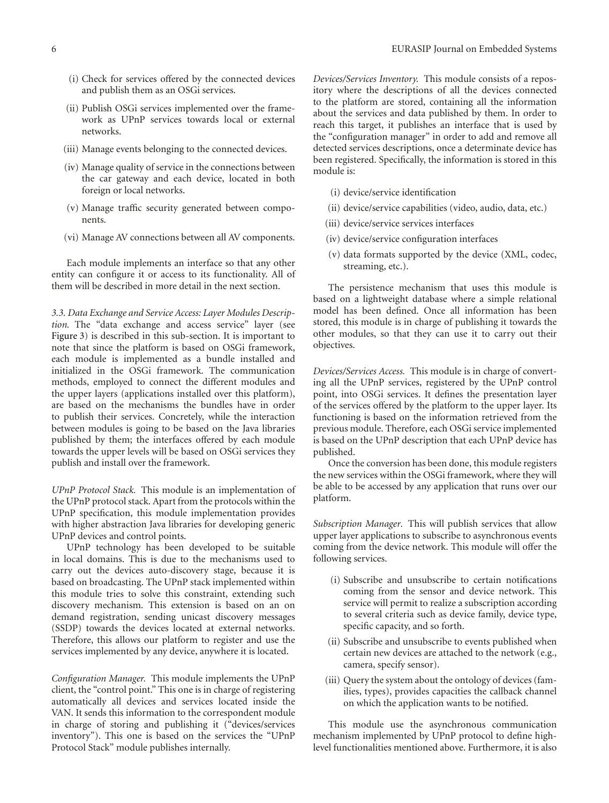- (i) Check for services offered by the connected devices and publish them as an OSGi services.
- (ii) Publish OSGi services implemented over the framework as UPnP services towards local or external networks.
- (iii) Manage events belonging to the connected devices.
- (iv) Manage quality of service in the connections between the car gateway and each device, located in both foreign or local networks.
- (v) Manage traffic security generated between components.
- (vi) Manage AV connections between all AV components.

Each module implements an interface so that any other entity can configure it or access to its functionality. All of them will be described in more detail in the next section.

*3.3. Data Exchange and Service Access: Layer Modules Description.* The "data exchange and access service" layer (see Figure 3) is described in this sub-section. It is important to note that since the platform is based on OSGi framework, each module is implemented as a bundle installed and initialized in the OSGi framework. The communication methods, employed to connect the different modules and the upper layers (applications installed over this platform), are based on the mechanisms the bundles have in order to publish their services. Concretely, while the interaction between modules is going to be based on the Java libraries published by them; the interfaces offered by each module towards the upper levels will be based on OSGi services they publish and install over the framework.

*UPnP Protocol Stack.* This module is an implementation of the UPnP protocol stack. Apart from the protocols within the UPnP specification, this module implementation provides with higher abstraction Java libraries for developing generic UPnP devices and control points.

UPnP technology has been developed to be suitable in local domains. This is due to the mechanisms used to carry out the devices auto-discovery stage, because it is based on broadcasting. The UPnP stack implemented within this module tries to solve this constraint, extending such discovery mechanism. This extension is based on an on demand registration, sending unicast discovery messages (SSDP) towards the devices located at external networks. Therefore, this allows our platform to register and use the services implemented by any device, anywhere it is located.

*Configuration Manager.* This module implements the UPnP client, the "control point." This one is in charge of registering automatically all devices and services located inside the VAN. It sends this information to the correspondent module in charge of storing and publishing it ("devices/services inventory"). This one is based on the services the "UPnP Protocol Stack" module publishes internally.

*Devices/Services Inventory.* This module consists of a repository where the descriptions of all the devices connected to the platform are stored, containing all the information about the services and data published by them. In order to reach this target, it publishes an interface that is used by the "configuration manager" in order to add and remove all detected services descriptions, once a determinate device has been registered. Specifically, the information is stored in this module is:

- (i) device/service identification
- (ii) device/service capabilities (video, audio, data, etc.)
- (iii) device/service services interfaces
- (iv) device/service configuration interfaces
- (v) data formats supported by the device (XML, codec, streaming, etc.).

The persistence mechanism that uses this module is based on a lightweight database where a simple relational model has been defined. Once all information has been stored, this module is in charge of publishing it towards the other modules, so that they can use it to carry out their objectives.

*Devices/Services Access.* This module is in charge of converting all the UPnP services, registered by the UPnP control point, into OSGi services. It defines the presentation layer of the services offered by the platform to the upper layer. Its functioning is based on the information retrieved from the previous module. Therefore, each OSGi service implemented is based on the UPnP description that each UPnP device has published.

Once the conversion has been done, this module registers the new services within the OSGi framework, where they will be able to be accessed by any application that runs over our platform.

*Subscription Manager.* This will publish services that allow upper layer applications to subscribe to asynchronous events coming from the device network. This module will offer the following services.

- (i) Subscribe and unsubscribe to certain notifications coming from the sensor and device network. This service will permit to realize a subscription according to several criteria such as device family, device type, specific capacity, and so forth.
- (ii) Subscribe and unsubscribe to events published when certain new devices are attached to the network (e.g., camera, specify sensor).
- (iii) Query the system about the ontology of devices (families, types), provides capacities the callback channel on which the application wants to be notified.

This module use the asynchronous communication mechanism implemented by UPnP protocol to define highlevel functionalities mentioned above. Furthermore, it is also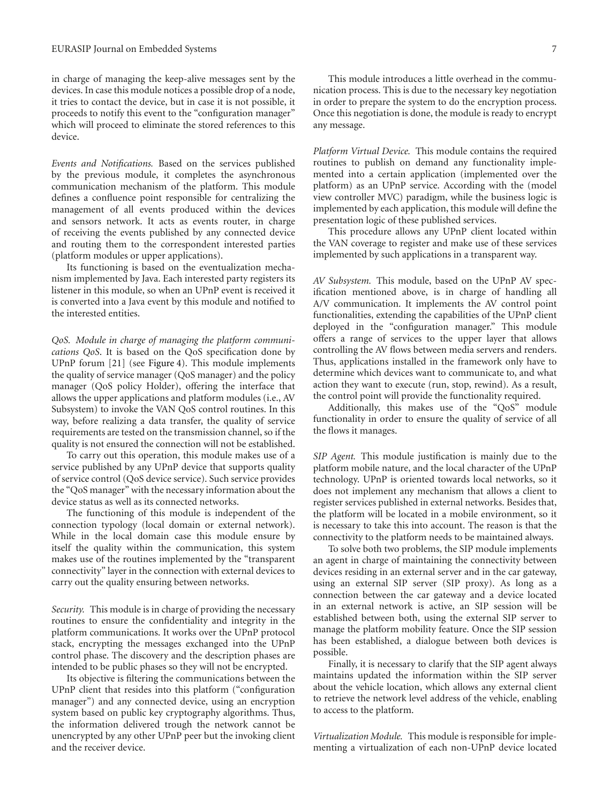in charge of managing the keep-alive messages sent by the devices. In case this module notices a possible drop of a node, it tries to contact the device, but in case it is not possible, it proceeds to notify this event to the "configuration manager" which will proceed to eliminate the stored references to this device.

*Events and Notifications.* Based on the services published by the previous module, it completes the asynchronous communication mechanism of the platform. This module defines a confluence point responsible for centralizing the management of all events produced within the devices and sensors network. It acts as events router, in charge of receiving the events published by any connected device and routing them to the correspondent interested parties (platform modules or upper applications).

Its functioning is based on the eventualization mechanism implemented by Java. Each interested party registers its listener in this module, so when an UPnP event is received it is converted into a Java event by this module and notified to the interested entities.

*QoS. Module in charge of managing the platform communications QoS*. It is based on the QoS specification done by UPnP forum [21] (see Figure 4). This module implements the quality of service manager (QoS manager) and the policy manager (QoS policy Holder), offering the interface that allows the upper applications and platform modules (i.e., AV Subsystem) to invoke the VAN QoS control routines. In this way, before realizing a data transfer, the quality of service requirements are tested on the transmission channel, so if the quality is not ensured the connection will not be established.

To carry out this operation, this module makes use of a service published by any UPnP device that supports quality of service control (QoS device service). Such service provides the "QoS manager" with the necessary information about the device status as well as its connected networks.

The functioning of this module is independent of the connection typology (local domain or external network). While in the local domain case this module ensure by itself the quality within the communication, this system makes use of the routines implemented by the "transparent connectivity" layer in the connection with external devices to carry out the quality ensuring between networks.

*Security.* This module is in charge of providing the necessary routines to ensure the confidentiality and integrity in the platform communications. It works over the UPnP protocol stack, encrypting the messages exchanged into the UPnP control phase. The discovery and the description phases are intended to be public phases so they will not be encrypted.

Its objective is filtering the communications between the UPnP client that resides into this platform ("configuration manager") and any connected device, using an encryption system based on public key cryptography algorithms. Thus, the information delivered trough the network cannot be unencrypted by any other UPnP peer but the invoking client and the receiver device.

This module introduces a little overhead in the communication process. This is due to the necessary key negotiation in order to prepare the system to do the encryption process. Once this negotiation is done, the module is ready to encrypt any message.

*Platform Virtual Device.* This module contains the required routines to publish on demand any functionality implemented into a certain application (implemented over the platform) as an UPnP service. According with the (model view controller MVC) paradigm, while the business logic is implemented by each application, this module will define the presentation logic of these published services.

This procedure allows any UPnP client located within the VAN coverage to register and make use of these services implemented by such applications in a transparent way.

*AV Subsystem.* This module, based on the UPnP AV specification mentioned above, is in charge of handling all A/V communication. It implements the AV control point functionalities, extending the capabilities of the UPnP client deployed in the "configuration manager." This module offers a range of services to the upper layer that allows controlling the AV flows between media servers and renders. Thus, applications installed in the framework only have to determine which devices want to communicate to, and what action they want to execute (run, stop, rewind). As a result, the control point will provide the functionality required.

Additionally, this makes use of the "QoS" module functionality in order to ensure the quality of service of all the flows it manages.

*SIP Agent.* This module justification is mainly due to the platform mobile nature, and the local character of the UPnP technology. UPnP is oriented towards local networks, so it does not implement any mechanism that allows a client to register services published in external networks. Besides that, the platform will be located in a mobile environment, so it is necessary to take this into account. The reason is that the connectivity to the platform needs to be maintained always.

To solve both two problems, the SIP module implements an agent in charge of maintaining the connectivity between devices residing in an external server and in the car gateway, using an external SIP server (SIP proxy). As long as a connection between the car gateway and a device located in an external network is active, an SIP session will be established between both, using the external SIP server to manage the platform mobility feature. Once the SIP session has been established, a dialogue between both devices is possible.

Finally, it is necessary to clarify that the SIP agent always maintains updated the information within the SIP server about the vehicle location, which allows any external client to retrieve the network level address of the vehicle, enabling to access to the platform.

*Virtualization Module.* This module is responsible for implementing a virtualization of each non-UPnP device located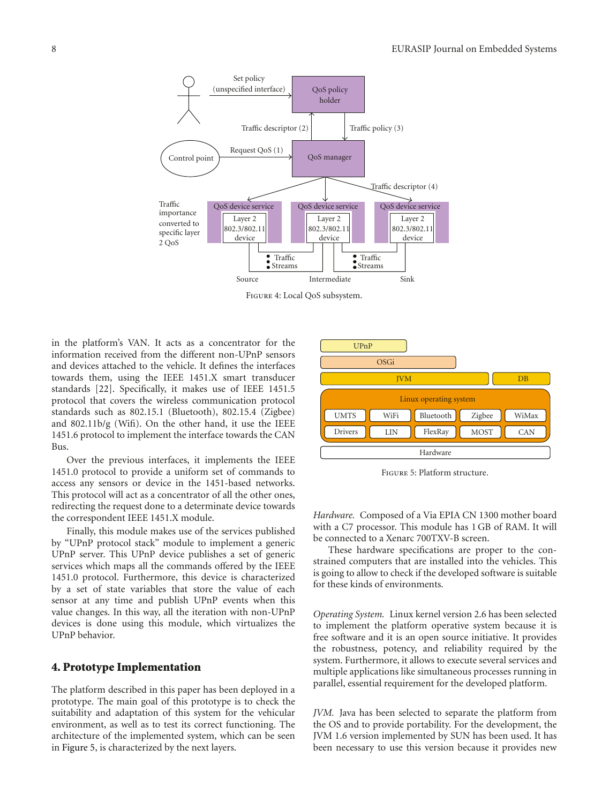

Figure 4: Local QoS subsystem.

in the platform's VAN. It acts as a concentrator for the information received from the different non-UPnP sensors and devices attached to the vehicle. It defines the interfaces towards them, using the IEEE 1451.X smart transducer standards [22]. Specifically, it makes use of IEEE 1451.5 protocol that covers the wireless communication protocol standards such as 802.15.1 (Bluetooth), 802.15.4 (Zigbee) and 802.11b/g (Wifi). On the other hand, it use the IEEE 1451.6 protocol to implement the interface towards the CAN Bus.

Over the previous interfaces, it implements the IEEE 1451.0 protocol to provide a uniform set of commands to access any sensors or device in the 1451-based networks. This protocol will act as a concentrator of all the other ones, redirecting the request done to a determinate device towards the correspondent IEEE 1451.X module.

Finally, this module makes use of the services published by "UPnP protocol stack" module to implement a generic UPnP server. This UPnP device publishes a set of generic services which maps all the commands offered by the IEEE 1451.0 protocol. Furthermore, this device is characterized by a set of state variables that store the value of each sensor at any time and publish UPnP events when this value changes. In this way, all the iteration with non-UPnP devices is done using this module, which virtualizes the UPnP behavior.

#### **4. Prototype Implementation**

The platform described in this paper has been deployed in a prototype. The main goal of this prototype is to check the suitability and adaptation of this system for the vehicular environment, as well as to test its correct functioning. The architecture of the implemented system, which can be seen in Figure 5, is characterized by the next layers.



Figure 5: Platform structure.

*Hardware.* Composed of a Via EPIA CN 1300 mother board with a C7 processor. This module has 1 GB of RAM. It will be connected to a Xenarc 700TXV-B screen.

These hardware specifications are proper to the constrained computers that are installed into the vehicles. This is going to allow to check if the developed software is suitable for these kinds of environments.

*Operating System.* Linux kernel version 2.6 has been selected to implement the platform operative system because it is free software and it is an open source initiative. It provides the robustness, potency, and reliability required by the system. Furthermore, it allows to execute several services and multiple applications like simultaneous processes running in parallel, essential requirement for the developed platform.

*JVM.* Java has been selected to separate the platform from the OS and to provide portability. For the development, the JVM 1.6 version implemented by SUN has been used. It has been necessary to use this version because it provides new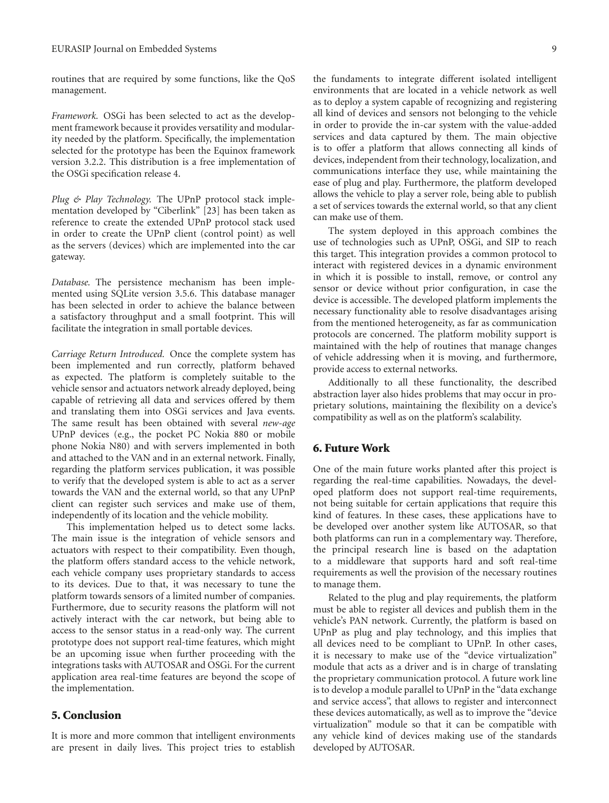routines that are required by some functions, like the QoS management.

*Framework.* OSGi has been selected to act as the development framework because it provides versatility and modularity needed by the platform. Specifically, the implementation selected for the prototype has been the Equinox framework version 3.2.2. This distribution is a free implementation of the OSGi specification release 4.

*Plug & Play Technology.* The UPnP protocol stack implementation developed by "Ciberlink" [23] has been taken as reference to create the extended UPnP protocol stack used in order to create the UPnP client (control point) as well as the servers (devices) which are implemented into the car gateway.

*Database.* The persistence mechanism has been implemented using SQLite version 3.5.6. This database manager has been selected in order to achieve the balance between a satisfactory throughput and a small footprint. This will facilitate the integration in small portable devices.

*Carriage Return Introduced.* Once the complete system has been implemented and run correctly, platform behaved as expected. The platform is completely suitable to the vehicle sensor and actuators network already deployed, being capable of retrieving all data and services offered by them and translating them into OSGi services and Java events. The same result has been obtained with several *new-age* UPnP devices (e.g., the pocket PC Nokia 880 or mobile phone Nokia N80) and with servers implemented in both and attached to the VAN and in an external network. Finally, regarding the platform services publication, it was possible to verify that the developed system is able to act as a server towards the VAN and the external world, so that any UPnP client can register such services and make use of them, independently of its location and the vehicle mobility.

This implementation helped us to detect some lacks. The main issue is the integration of vehicle sensors and actuators with respect to their compatibility. Even though, the platform offers standard access to the vehicle network, each vehicle company uses proprietary standards to access to its devices. Due to that, it was necessary to tune the platform towards sensors of a limited number of companies. Furthermore, due to security reasons the platform will not actively interact with the car network, but being able to access to the sensor status in a read-only way. The current prototype does not support real-time features, which might be an upcoming issue when further proceeding with the integrations tasks with AUTOSAR and OSGi. For the current application area real-time features are beyond the scope of the implementation.

#### **5. Conclusion**

It is more and more common that intelligent environments are present in daily lives. This project tries to establish

the fundaments to integrate different isolated intelligent environments that are located in a vehicle network as well as to deploy a system capable of recognizing and registering all kind of devices and sensors not belonging to the vehicle in order to provide the in-car system with the value-added services and data captured by them. The main objective is to offer a platform that allows connecting all kinds of devices, independent from their technology, localization, and communications interface they use, while maintaining the ease of plug and play. Furthermore, the platform developed allows the vehicle to play a server role, being able to publish a set of services towards the external world, so that any client can make use of them.

The system deployed in this approach combines the use of technologies such as UPnP, OSGi, and SIP to reach this target. This integration provides a common protocol to interact with registered devices in a dynamic environment in which it is possible to install, remove, or control any sensor or device without prior configuration, in case the device is accessible. The developed platform implements the necessary functionality able to resolve disadvantages arising from the mentioned heterogeneity, as far as communication protocols are concerned. The platform mobility support is maintained with the help of routines that manage changes of vehicle addressing when it is moving, and furthermore, provide access to external networks.

Additionally to all these functionality, the described abstraction layer also hides problems that may occur in proprietary solutions, maintaining the flexibility on a device's compatibility as well as on the platform's scalability.

#### **6. Future Work**

One of the main future works planted after this project is regarding the real-time capabilities. Nowadays, the developed platform does not support real-time requirements, not being suitable for certain applications that require this kind of features. In these cases, these applications have to be developed over another system like AUTOSAR, so that both platforms can run in a complementary way. Therefore, the principal research line is based on the adaptation to a middleware that supports hard and soft real-time requirements as well the provision of the necessary routines to manage them.

Related to the plug and play requirements, the platform must be able to register all devices and publish them in the vehicle's PAN network. Currently, the platform is based on UPnP as plug and play technology, and this implies that all devices need to be compliant to UPnP. In other cases, it is necessary to make use of the "device virtualization" module that acts as a driver and is in charge of translating the proprietary communication protocol. A future work line is to develop a module parallel to UPnP in the "data exchange and service access", that allows to register and interconnect these devices automatically, as well as to improve the "device virtualization" module so that it can be compatible with any vehicle kind of devices making use of the standards developed by AUTOSAR.